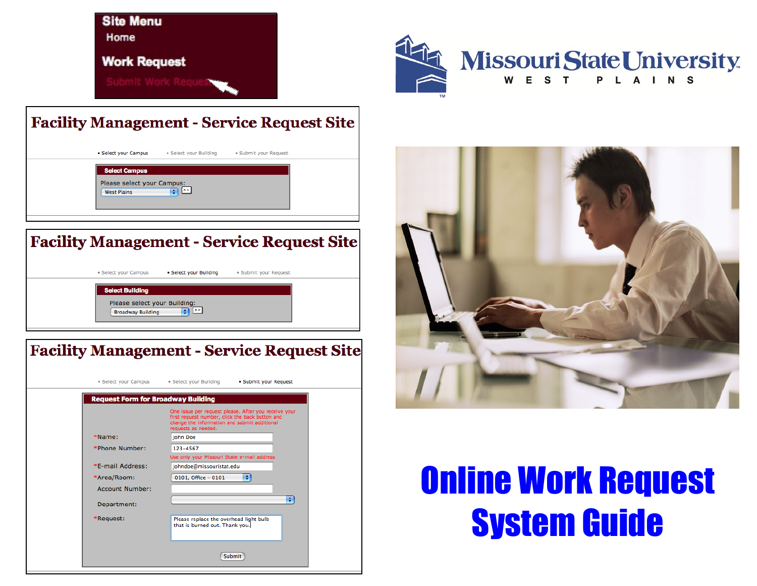**Site Menu** Home

**Work Request** 



### **Facility Management - Service Request Site**

| • Select your Campus<br>• Select your Building<br>· Submit your Request         |  |
|---------------------------------------------------------------------------------|--|
| <b>Select Campus</b><br>Please select your Campus:<br>ত প<br><b>West Plains</b> |  |

## **Facility Management - Service Request Site**

| · Select your Campus                                                               | • Select your Building | · Submit your Request |  |
|------------------------------------------------------------------------------------|------------------------|-----------------------|--|
| <b>Select Building</b><br>Please select your Building:<br><b>Broadway Building</b> | $\lceil z \rceil$<br>÷ |                       |  |

# **Facility Management - Service Request Site**

|                        | One issue per request please. After you receive your<br>first request number, click the back button and<br>change the information and submit additional<br>requests as needed. |
|------------------------|--------------------------------------------------------------------------------------------------------------------------------------------------------------------------------|
| *Name:                 | <b>Iohn Doe</b>                                                                                                                                                                |
| *Phone Number:         | 123-4567                                                                                                                                                                       |
|                        | Use only your Missouri State e-mail address                                                                                                                                    |
| *E-mail Address:       | johndoe@missouristat.edu                                                                                                                                                       |
| *Area/Room:            | ٠<br>0101, Office - 0101                                                                                                                                                       |
| <b>Account Number:</b> |                                                                                                                                                                                |
| Department:            | ÷                                                                                                                                                                              |
| *Request:              | Please replace the overhead light bulb<br>that is burned out. Thank you.                                                                                                       |



# **Online Work Request System Guide**